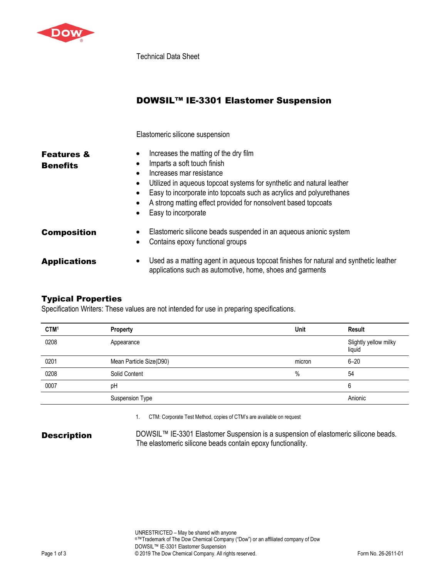

Technical Data Sheet

|                                          | <b>DOWSIL™ IE-3301 Elastomer Suspension</b>                                                                                                                                                                                                                                                                                                                                                                           |
|------------------------------------------|-----------------------------------------------------------------------------------------------------------------------------------------------------------------------------------------------------------------------------------------------------------------------------------------------------------------------------------------------------------------------------------------------------------------------|
|                                          | Elastomeric silicone suspension                                                                                                                                                                                                                                                                                                                                                                                       |
| <b>Features &amp;</b><br><b>Benefits</b> | Increases the matting of the dry film<br>٠<br>Imparts a soft touch finish<br>$\bullet$<br>Increases mar resistance<br>$\bullet$<br>Utilized in aqueous topcoat systems for synthetic and natural leather<br>$\bullet$<br>Easy to incorporate into topcoats such as acrylics and polyurethanes<br>٠<br>A strong matting effect provided for nonsolvent based topcoats<br>$\bullet$<br>Easy to incorporate<br>$\bullet$ |
| <b>Composition</b>                       | Elastomeric silicone beads suspended in an aqueous anionic system<br>$\bullet$<br>Contains epoxy functional groups<br>$\bullet$                                                                                                                                                                                                                                                                                       |
| <b>Applications</b>                      | Used as a matting agent in aqueous topcoat finishes for natural and synthetic leather<br>٠<br>applications such as automotive, home, shoes and garments                                                                                                                                                                                                                                                               |

## Typical Properties

Specification Writers: These values are not intended for use in preparing specifications.

| CTM <sup>1</sup> | Property                | Unit   | <b>Result</b>                   |
|------------------|-------------------------|--------|---------------------------------|
| 0208             | Appearance              |        | Slightly yellow milky<br>liquid |
| 0201             | Mean Particle Size(D90) | micron | $6 - 20$                        |
| 0208             | Solid Content           | $\%$   | 54                              |
| 0007             | pH                      |        | 6                               |
|                  | <b>Suspension Type</b>  |        | Anionic                         |

1. CTM: Corporate Test Method, copies of CTM's are available on request

**Description** DOWSIL<sup>™</sup> IE-3301 Elastomer Suspension is a suspension of elastomeric silicone beads. The elastomeric silicone beads contain epoxy functionality.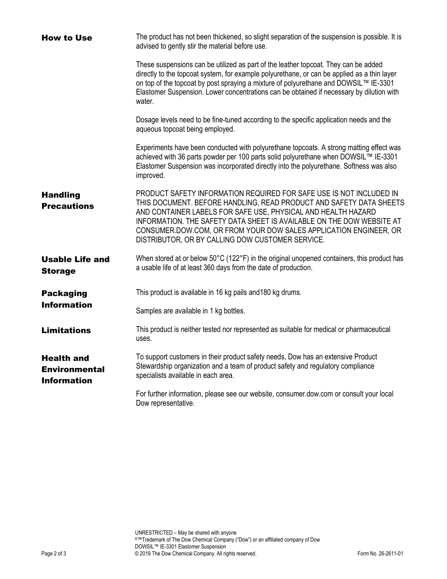| <b>How to Use</b>                                               | The product has not been thickened, so slight separation of the suspension is possible. It is<br>advised to gently stir the material before use.                                                                                                                                                                                                                                                              |
|-----------------------------------------------------------------|---------------------------------------------------------------------------------------------------------------------------------------------------------------------------------------------------------------------------------------------------------------------------------------------------------------------------------------------------------------------------------------------------------------|
|                                                                 | These suspensions can be utilized as part of the leather topcoat. They can be added<br>directly to the topcoat system, for example polyurethane, or can be applied as a thin layer<br>on top of the topcoat by post spraying a mixture of polyurethane and DOWSIL™ IE-3301<br>Elastomer Suspension. Lower concentrations can be obtained if necessary by dilution with<br>water.                              |
|                                                                 | Dosage levels need to be fine-tuned according to the specific application needs and the<br>aqueous topcoat being employed.                                                                                                                                                                                                                                                                                    |
|                                                                 | Experiments have been conducted with polyurethane topcoats. A strong matting effect was<br>achieved with 36 parts powder per 100 parts solid polyurethane when DOWSIL™ IE-3301<br>Elastomer Suspension was incorporated directly into the polyurethane. Softness was also<br>improved.                                                                                                                        |
| <b>Handling</b><br><b>Precautions</b>                           | PRODUCT SAFETY INFORMATION REQUIRED FOR SAFE USE IS NOT INCLUDED IN<br>THIS DOCUMENT. BEFORE HANDLING, READ PRODUCT AND SAFETY DATA SHEETS<br>AND CONTAINER LABELS FOR SAFE USE, PHYSICAL AND HEALTH HAZARD<br>INFORMATION. THE SAFETY DATA SHEET IS AVAILABLE ON THE DOW WEBSITE AT<br>CONSUMER.DOW.COM, OR FROM YOUR DOW SALES APPLICATION ENGINEER, OR<br>DISTRIBUTOR, OR BY CALLING DOW CUSTOMER SERVICE. |
| <b>Usable Life and</b><br><b>Storage</b>                        | When stored at or below 50°C (122°F) in the original unopened containers, this product has<br>a usable life of at least 360 days from the date of production.                                                                                                                                                                                                                                                 |
| <b>Packaging</b>                                                | This product is available in 16 kg pails and 180 kg drums.                                                                                                                                                                                                                                                                                                                                                    |
| <b>Information</b>                                              | Samples are available in 1 kg bottles.                                                                                                                                                                                                                                                                                                                                                                        |
| <b>Limitations</b>                                              | This product is neither tested nor represented as suitable for medical or pharmaceutical<br>uses.                                                                                                                                                                                                                                                                                                             |
| <b>Health and</b><br><b>Environmental</b><br><b>Information</b> | To support customers in their product safety needs, Dow has an extensive Product<br>Stewardship organization and a team of product safety and regulatory compliance<br>specialists available in each area.                                                                                                                                                                                                    |
|                                                                 | For further information, please see our website, consumer.dow.com or consult your local<br>Dow representative.                                                                                                                                                                                                                                                                                                |